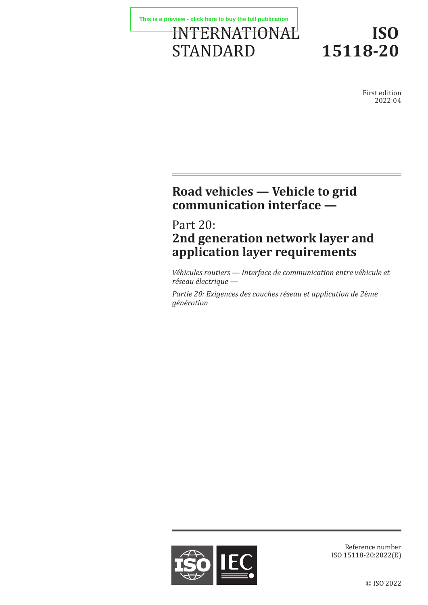

# **ISO 15118-20**

First edition 2022-04

# **Road vehicles — Vehicle to grid communication interface —**

# Part 20: **2nd generation network layer and application layer requirements**

*Véhicules routiers — Interface de communication entre véhicule et réseau électrique —*

*Partie 20: Exigences des couches réseau et application de 2ème génération*



Reference number ISO 15118-20:2022(E)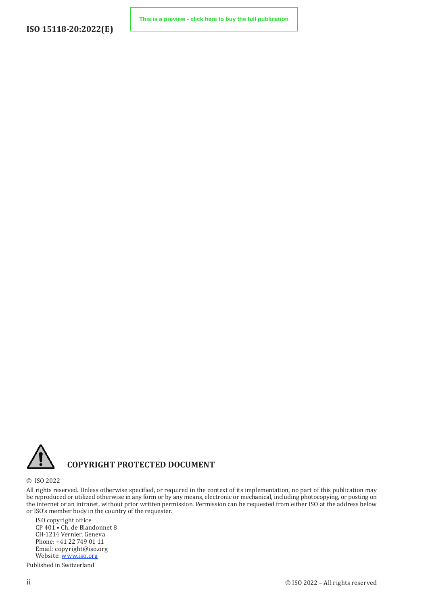

### **COPYRIGHT PROTECTED DOCUMENT**

© ISO 2022

All rights reserved. Unless otherwise specified, or required in the context of its implementation, no part of this publication may be reproduced or utilized otherwise in any form or by any means, electronic or mechanical, including photocopying, or posting on the internet or an intranet, without prior written permission. Permission can be requested from either ISO at the address below or ISO's member body in the country of the requester.

ISO copyright office CP 401 • Ch. de Blandonnet 8 CH-1214 Vernier, Geneva Phone: +41 22 749 01 11 Email: copyright@iso.org Website: www.iso.org

Published in Switzerland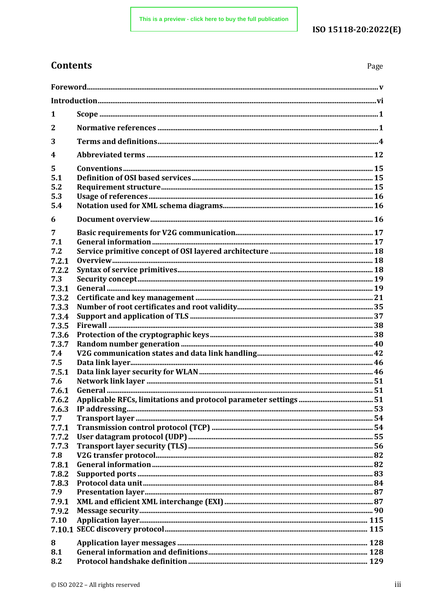### ISO 15118-20:2022(E)

## **Contents**

Page

| 1                             |  |  |
|-------------------------------|--|--|
| 2                             |  |  |
| 3                             |  |  |
| 4                             |  |  |
| 5<br>5.1<br>5.2<br>5.3<br>5.4 |  |  |
| 6                             |  |  |
| 7<br>7.1                      |  |  |
| 7.2<br>7.2.1                  |  |  |
| 7.2.2                         |  |  |
| 7.3                           |  |  |
| 7.3.1                         |  |  |
| 7.3.2                         |  |  |
| 7.3.3                         |  |  |
| 7.3.4<br>7.3.5                |  |  |
| 7.3.6                         |  |  |
| 7.3.7                         |  |  |
| 7.4                           |  |  |
| 7.5                           |  |  |
| 7.5.1                         |  |  |
| 7.6                           |  |  |
| 7.6.1                         |  |  |
| 7.6.2                         |  |  |
| 7.6.3                         |  |  |
| 7.7                           |  |  |
| 7.7.1                         |  |  |
| 7.7.2                         |  |  |
| 7.7.3                         |  |  |
| 7.8                           |  |  |
| 7.8.1                         |  |  |
| 7.8.2<br>7.8.3                |  |  |
| 7.9                           |  |  |
| 7.9.1                         |  |  |
| 7.9.2                         |  |  |
| 7.10                          |  |  |
|                               |  |  |
| 8                             |  |  |
| 8.1                           |  |  |
| 8.2                           |  |  |
|                               |  |  |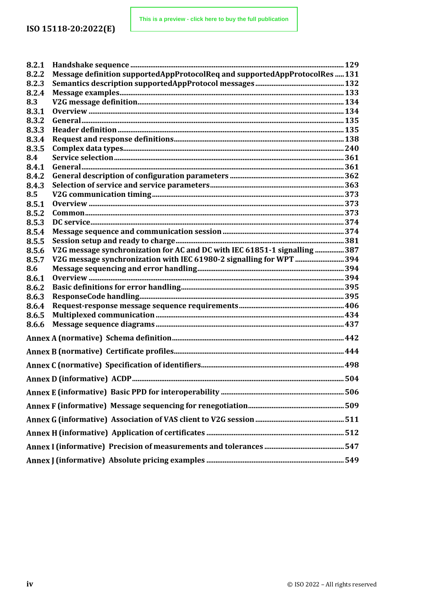| 8.2.1 |                                                                             |  |
|-------|-----------------------------------------------------------------------------|--|
| 8.2.2 | Message definition supportedAppProtocolReq and supportedAppProtocolRes  131 |  |
| 8.2.3 |                                                                             |  |
| 8.2.4 |                                                                             |  |
| 8.3   |                                                                             |  |
| 8.3.1 |                                                                             |  |
| 8.3.2 |                                                                             |  |
| 8.3.3 |                                                                             |  |
| 8.3.4 |                                                                             |  |
| 8.3.5 |                                                                             |  |
| 8.4   |                                                                             |  |
| 8.4.1 |                                                                             |  |
| 8.4.2 |                                                                             |  |
| 8.4.3 |                                                                             |  |
| 8.5   |                                                                             |  |
| 8.5.1 |                                                                             |  |
| 8.5.2 |                                                                             |  |
| 8.5.3 |                                                                             |  |
| 8.5.4 |                                                                             |  |
| 8.5.5 |                                                                             |  |
| 8.5.6 | V2G message synchronization for AC and DC with IEC 61851-1 signalling  387  |  |
| 8.5.7 | V2G message synchronization with IEC 61980-2 signalling for WPT  394        |  |
| 8.6   |                                                                             |  |
| 8.6.1 |                                                                             |  |
| 8.6.2 |                                                                             |  |
| 8.6.3 |                                                                             |  |
| 8.6.4 |                                                                             |  |
| 8.6.5 |                                                                             |  |
| 8.6.6 |                                                                             |  |
|       |                                                                             |  |
|       |                                                                             |  |
|       |                                                                             |  |
|       |                                                                             |  |
|       |                                                                             |  |
|       |                                                                             |  |
|       |                                                                             |  |
|       |                                                                             |  |
|       |                                                                             |  |
|       |                                                                             |  |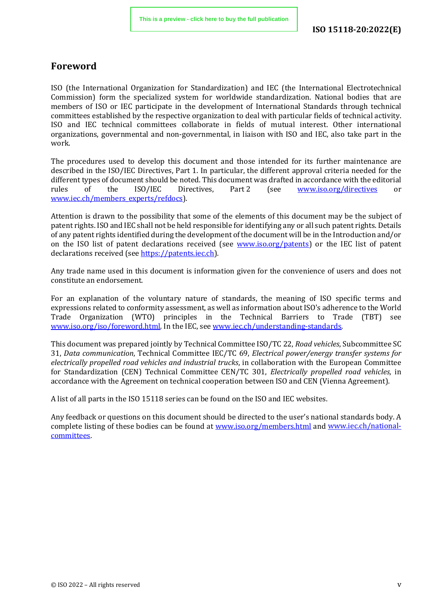### <span id="page-4-0"></span>**Foreword**

ISO (the International Organization for Standardization) and IEC (the International Electrotechnical Commission) form the specialized system for worldwide standardization. National bodies that are members of ISO or IEC participate in the development of International Standards through technical committees established by the respective organization to deal with particular fields of technical activity. ISO and IEC technical committees collaborate in fields of mutual interest. Other international organizations, governmental and non-governmental, in liaison with ISO and IEC, also take part in the work.

The procedures used to develop this document and those intended for its further maintenance are described in the ISO/IEC Directives, Part 1. In particular, the different approval criteria needed for the different types of document should be noted. This document was drafted in accordance with the editorial rules of the ISO/IEC Directives. Part 2 (see www.iso.org/directives or [www.iso.org/directives](https://www.iso.org/directives-and-policies.html) or [www.iec.ch/members\\_experts/refdocs\)](https://www.iec.ch/members_experts/refdocs).

Attention is drawn to the possibility that some of the elements of this document may be the subject of patent rights. ISO and IEC shall not be held responsible for identifying any or all such patent rights. Details of any patent rights identified during the development of the document will be in the Introduction and/or on the ISO list of patent declarations received (see [www.iso.org/patents\)](https://www.iso.org/iso-standards-and-patents.html) or the IEC list of patent declarations received (see [https://patents.iec.ch\)](https://patents.iec.ch/).

Any trade name used in this document is information given for the convenience of users and does not constitute an endorsement.

For an explanation of the voluntary nature of standards, the meaning of ISO specific terms and expressions related to conformity assessment, as well as information about ISO's adherence to the World Trade Organization (WTO) principles in the Technical Barriers to Trade (TBT) see [www.iso.org/iso/foreword.html.](https://www.iso.org/iso/foreword.html) In the IEC, see [www.iec.ch/understanding-standards.](https://www.iec.ch/understanding-standards)

This document was prepared jointly by Technical Committee ISO/TC 22, *Road vehicles*, Subcommittee SC 31, *Data communication*, Technical Committee IEC/TC 69, *Electrical power/energy transfer systems for electrically propelled road vehicles and industrial trucks*, in collaboration with the European Committee for Standardization (CEN) Technical Committee CEN/TC 301, *Electrically propelled road vehicles,* in accordance with the Agreement on technical cooperation between ISO and CEN (Vienna Agreement).

A list of all parts in the ISO 15118 series can be found on the ISO and IEC websites.

Any feedback or questions on this document should be directed to the user's national standards body. A complete listing of these bodies can be found at [www.iso.org/members.html](https://www.iso.org/members.html) and [www.iec.ch/national](https://www.iec.ch/national-committees)[committees.](https://www.iec.ch/national-committees)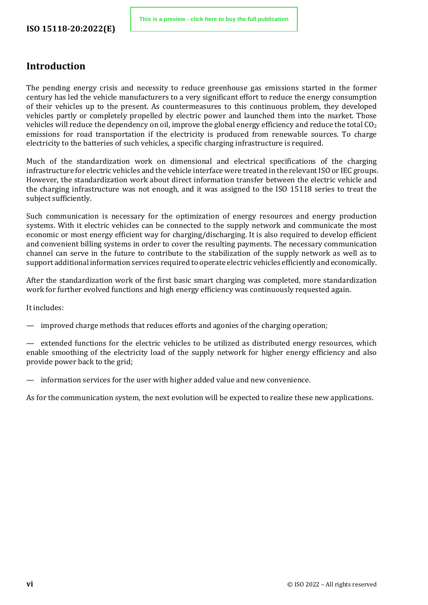### <span id="page-5-0"></span>**Introduction**

The pending energy crisis and necessity to reduce greenhouse gas emissions started in the former century has led the vehicle manufacturers to a very significant effort to reduce the energy consumption of their vehicles up to the present. As countermeasures to this continuous problem, they developed vehicles partly or completely propelled by electric power and launched them into the market. Those vehicles will reduce the dependency on oil, improve the global energy efficiency and reduce the total  $\text{CO}_2$ emissions for road transportation if the electricity is produced from renewable sources. To charge electricity to the batteries of such vehicles, a specific charging infrastructure is required.

Much of the standardization work on dimensional and electrical specifications of the charging infrastructure for electric vehicles and the vehicle interface were treated in the relevant ISO or IEC groups. However, the standardization work about direct information transfer between the electric vehicle and the charging infrastructure was not enough, and it was assigned to the ISO 15118 series to treat the subject sufficiently.

Such communication is necessary for the optimization of energy resources and energy production systems. With it electric vehicles can be connected to the supply network and communicate the most economic or most energy efficient way for charging/discharging. It is also required to develop efficient and convenient billing systems in order to cover the resulting payments. The necessary communication channel can serve in the future to contribute to the stabilization of the supply network as well as to support additional information services required to operate electric vehicles efficiently and economically.

After the standardization work of the first basic smart charging was completed, more standardization work for further evolved functions and high energy efficiency was continuously requested again.

It includes:

improved charge methods that reduces efforts and agonies of the charging operation;

extended functions for the electric vehicles to be utilized as distributed energy resources, which enable smoothing of the electricity load of the supply network for higher energy efficiency and also provide power back to the grid;

— information services for the user with higher added value and new convenience.

As for the communication system, the next evolution will be expected to realize these new applications.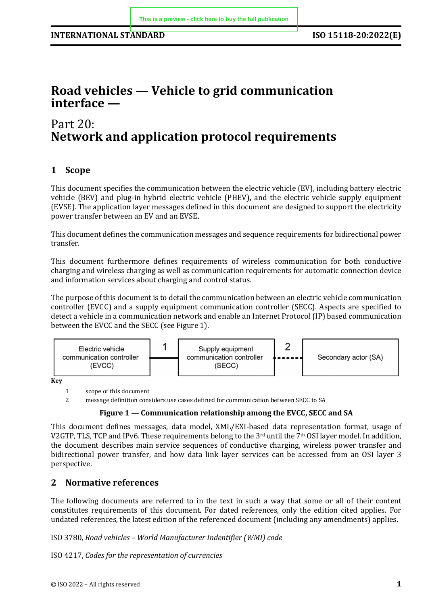# **Road vehicles — Vehicle to grid communication interface —**

### Part 20: **Network and application protocol requirements**

#### <span id="page-6-0"></span>**1 Scope**

This document specifies the communication between the electric vehicle (EV), including battery electric vehicle (BEV) and plug-in hybrid electric vehicle (PHEV), and the electric vehicle supply equipment (EVSE). The application layer messages defined in this document are designed to support the electricity power transfer between an EV and an EVSE.

This document defines the communication messages and sequence requirements for bidirectional power transfer.

This document furthermore defines requirements of wireless communication for both conductive charging and wireless charging as well as communication requirements for automatic connection device and information services about charging and control status.

The purpose of this document is to detail the communication between an electric vehicle communication controller (EVCC) and a supply equipment communication controller (SECC). Aspects are specified to detect a vehicle in a communication network and enable an Internet Protocol (IP) based communication between the EVCC and the SECC (see Figure 1).



**Key**

1 scope of this document<br>2 message definition con-

2 message definition considers use cases defined for communication between SECC to SA

#### **Figure 1 — Communication relationship among the EVCC, SECC and SA**

This document defines messages, data model, XML/EXI-based data representation format, usage of V2GTP, TLS, TCP and IPv6. These requirements belong to the 3rd until the 7th OSI layer model. In addition, the document describes main service sequences of conductive charging, wireless power transfer and bidirectional power transfer, and how data link layer services can be accessed from an OSI layer 3 perspective.

#### <span id="page-6-1"></span>**2 Normative references**

The following documents are referred to in the text in such a way that some or all of their content constitutes requirements of this document. For dated references, only the edition cited applies. For undated references, the latest edition of the referenced document (including any amendments) applies.

ISO 3780*, Road vehicles – World Manufacturer Indentifier (WMI) code*

ISO 4217, *Codes for the representation of currencies*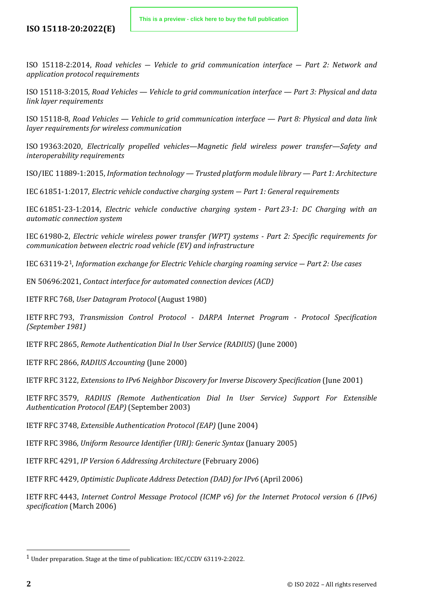#### **ISO 15118-20:2022(E)**

ISO 15118-2:2014, *Road vehicles ― Vehicle to grid communication interface ― Part 2: Network and application protocol requirements*

ISO 15118-3:2015*, Road Vehicles — Vehicle to grid communication interface — Part 3: Physical and data link layer requirements*

ISO 15118-8*, Road Vehicles — Vehicle to grid communication interface — Part 8: Physical and data link layer requirements for wireless communication* 

ISO 19363:2020, *Electrically propelled vehicles—Magnetic field wireless power transfer—Safety and interoperability requirements*

ISO/IEC 11889-1:2015, *Information technology — Trusted platform module library — Part 1: Architecture*

IEC 61851-1:2017, *Electric vehicle conductive charging system ― Part 1: General requirements*

IEC 61851-23-1:2014, *Electric vehicle conductive charging system - Part 23-1: DC Charging with an automatic connection system*

IEC 61980-2, *Electric vehicle wireless power transfer (WPT) systems - Part 2: Specific requirements for communication between electric road vehicle (EV) and infrastructure*

IEC 63119-2[1](#page-7-0), *Information exchange for Electric Vehicle charging roaming service ― Part 2: Use cases*

EN 50696:2021, *Contact interface for automated connection devices (ACD)*

IETF RFC 768, *User Datagram Protocol* (August 1980)

IETF RFC 793, *Transmission Control Protocol - DARPA Internet Program - Protocol Specification (September 1981)*

IETF RFC 2865, *Remote Authentication Dial In User Service (RADIUS)* (June 2000)

IETF RFC 2866, *RADIUS Accounting* (June 2000)

IETF RFC 3122, *Extensions to IPv6 Neighbor Discovery for Inverse Discovery Specification* (June 2001)

IETF RFC 3579, *RADIUS (Remote Authentication Dial In User Service) Support For Extensible Authentication Protocol (EAP)* (September 2003)

IETF RFC 3748, *Extensible Authentication Protocol (EAP)* (June 2004)

IETF RFC 3986*, Uniform Resource Identifier (URI): Generic Syntax* (January 2005)

IETF RFC 4291, *IP Version 6 Addressing Architecture* (February 2006)

IETF RFC 4429, *Optimistic Duplicate Address Detection (DAD) for IPv6* (April 2006)

IETF RFC 4443, *Internet Control Message Protocol (ICMP v6) for the Internet Protocol version 6 (IPv6) specification* (March 2006)

<span id="page-7-0"></span><sup>&</sup>lt;sup>1</sup> Under preparation. Stage at the time of publication: IEC/CCDV 63119-2:2022.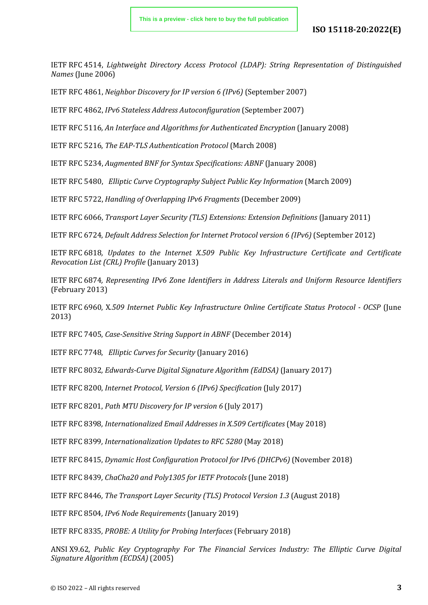#### **ISO 15118-20:2022(E)**

IETF RFC 4514, *Lightweight Directory Access Protocol (LDAP): String Representation of Distinguished Names* (June 2006)

IETF RFC 4861, *Neighbor Discovery for IP version 6 (IPv6)* (September 2007)

IETF RFC 4862, *IPv6 Stateless Address Autoconfiguration* (September 2007)

IETF RFC 5116*, An Interface and Algorithms for Authenticated Encryption* (January 2008)

IETF RFC 5216, *The EAP-TLS Authentication Protocol* (March 2008)

IETF RFC 5234, *Augmented BNF for Syntax Specifications: ABNF* (January 2008)

IETF RFC 5480, *Elliptic Curve Cryptography Subject Public Key Information* (March 2009)

IETF RFC 5722, *Handling of Overlapping IPv6 Fragments* (December 2009)

IETF RFC 6066, *Transport Layer Security (TLS) Extensions: Extension Definitions* (January 2011)

IETF RFC 6724, *Default Address Selection for Internet Protocol version 6 (IPv6)* (September 2012)

IETF RFC 6818*, Updates to the Internet X.509 Public Key Infrastructure Certificate and Certificate Revocation List (CRL) Profile* (January 2013)

IETF RFC 6874*, Representing IPv6 Zone Identifiers in Address Literals and Uniform Resource Identifiers*  (February 2013)

IETF RFC 6960, X*.509 Internet Public Key Infrastructure Online Certificate Status Protocol - OCSP* (June 2013)

IETF RFC 7405, *Case-Sensitive String Support in ABNF* (December 2014)

IETF RFC 7748, *Elliptic Curves for Security* (January 2016)

IETF RFC 8032*, Edwards-Curve Digital Signature Algorithm (EdDSA)* (January 2017)

IETF RFC 8200, *Internet Protocol, Version 6 (IPv6) Specification* (July 2017)

IETF RFC 8201, *Path MTU Discovery for IP version 6* (July 2017)

IETF RFC 8398*, Internationalized Email Addresses in X.509 Certificates* (May 2018)

IETF RFC 8399*, Internationalization Updates to RFC 5280* (May 2018)

IETF RFC 8415, *Dynamic Host Configuration Protocol for IPv6 (DHCPv6)* (November 2018)

IETF RFC 8439*, ChaCha20 and Poly1305 for IETF Protocols* (June 2018)

IETF RFC 8446*, The Transport Layer Security (TLS) Protocol Version 1.3* (August 2018)

IETF RFC 8504*, IPv6 Node Requirements* (January 2019)

IETF RFC 8335*, PROBE: A Utility for Probing Interfaces* (February 2018)

ANSI X9.62, *Public Key Cryptography For The Financial Services Industry: The Elliptic Curve Digital Signature Algorithm (ECDSA)* (2005)